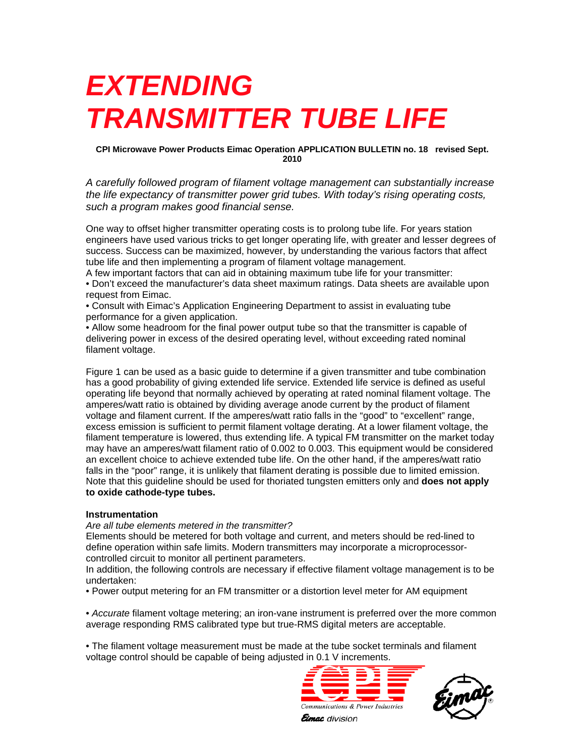# *EXTENDING TRANSMITTER TUBE LIFE*

## **CPI Microwave Power Products Eimac Operation APPLICATION BULLETIN no. 18 revised Sept. 2010**

*A carefully followed program of filament voltage management can substantially increase the life expectancy of transmitter power grid tubes. With today's rising operating costs, such a program makes good financial sense.* 

One way to offset higher transmitter operating costs is to prolong tube life. For years station engineers have used various tricks to get longer operating life, with greater and lesser degrees of success. Success can be maximized, however, by understanding the various factors that affect tube life and then implementing a program of filament voltage management.

A few important factors that can aid in obtaining maximum tube life for your transmitter: • Don't exceed the manufacturer's data sheet maximum ratings. Data sheets are available upon request from Eimac.

• Consult with Eimac's Application Engineering Department to assist in evaluating tube performance for a given application.

• Allow some headroom for the final power output tube so that the transmitter is capable of delivering power in excess of the desired operating level, without exceeding rated nominal filament voltage.

Figure 1 can be used as a basic guide to determine if a given transmitter and tube combination has a good probability of giving extended life service. Extended life service is defined as useful operating life beyond that normally achieved by operating at rated nominal filament voltage. The amperes/watt ratio is obtained by dividing average anode current by the product of filament voltage and filament current. If the amperes/watt ratio falls in the "good" to "excellent" range, excess emission is sufficient to permit filament voltage derating. At a lower filament voltage, the filament temperature is lowered, thus extending life. A typical FM transmitter on the market today may have an amperes/watt filament ratio of 0.002 to 0.003. This equipment would be considered an excellent choice to achieve extended tube life. On the other hand, if the amperes/watt ratio falls in the "poor" range, it is unlikely that filament derating is possible due to limited emission. Note that this guideline should be used for thoriated tungsten emitters only and **does not apply to oxide cathode-type tubes.** 

# **Instrumentation**

*Are all tube elements metered in the transmitter?* 

Elements should be metered for both voltage and current, and meters should be red-lined to define operation within safe limits. Modern transmitters may incorporate a microprocessorcontrolled circuit to monitor all pertinent parameters.

In addition, the following controls are necessary if effective filament voltage management is to be undertaken:

• Power output metering for an FM transmitter or a distortion level meter for AM equipment

• *Accurate* filament voltage metering; an iron-vane instrument is preferred over the more common average responding RMS calibrated type but true-RMS digital meters are acceptable.

• The filament voltage measurement must be made at the tube socket terminals and filament voltage control should be capable of being adjusted in 0.1 V increments.





**Eimac** division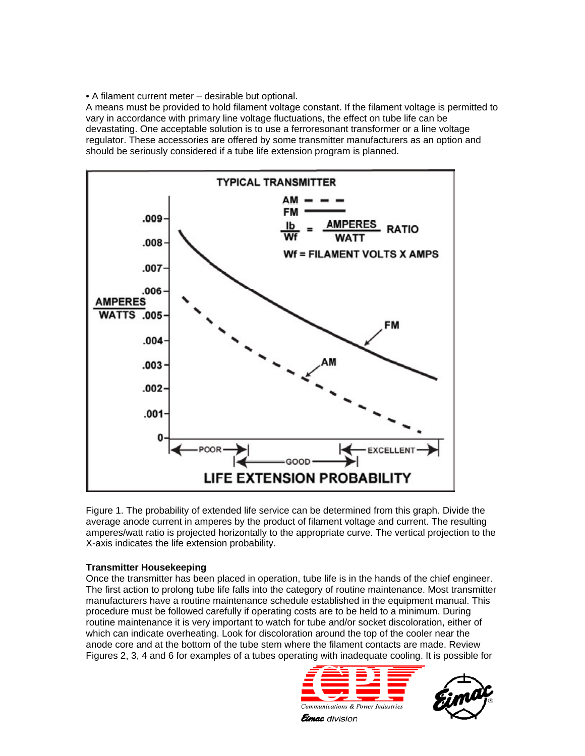• A filament current meter – desirable but optional.

A means must be provided to hold filament voltage constant. If the filament voltage is permitted to vary in accordance with primary line voltage fluctuations, the effect on tube life can be devastating. One acceptable solution is to use a ferroresonant transformer or a line voltage regulator. These accessories are offered by some transmitter manufacturers as an option and should be seriously considered if a tube life extension program is planned.



Figure 1. The probability of extended life service can be determined from this graph. Divide the average anode current in amperes by the product of filament voltage and current. The resulting amperes/watt ratio is projected horizontally to the appropriate curve. The vertical projection to the X-axis indicates the life extension probability.

# **Transmitter Housekeeping**

Once the transmitter has been placed in operation, tube life is in the hands of the chief engineer. The first action to prolong tube life falls into the category of routine maintenance. Most transmitter manufacturers have a routine maintenance schedule established in the equipment manual. This procedure must be followed carefully if operating costs are to be held to a minimum. During routine maintenance it is very important to watch for tube and/or socket discoloration, either of which can indicate overheating. Look for discoloration around the top of the cooler near the anode core and at the bottom of the tube stem where the filament contacts are made. Review Figures 2, 3, 4 and 6 for examples of a tubes operating with inadequate cooling. It is possible for



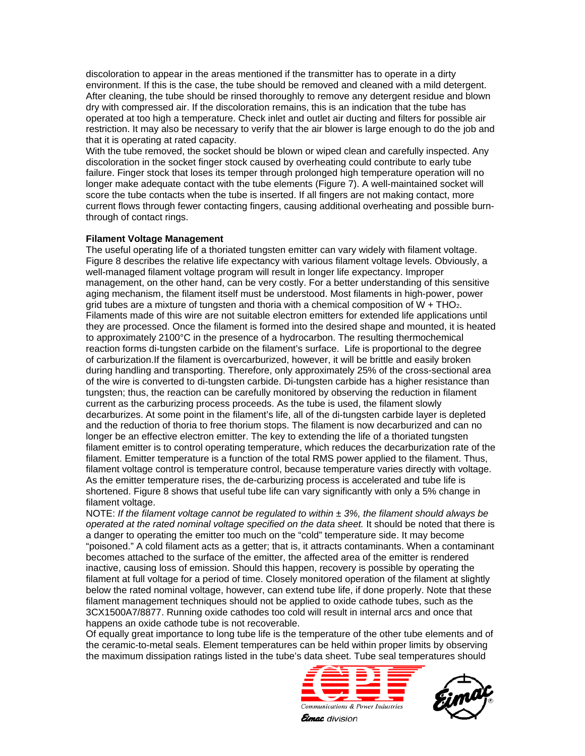discoloration to appear in the areas mentioned if the transmitter has to operate in a dirty environment. If this is the case, the tube should be removed and cleaned with a mild detergent. After cleaning, the tube should be rinsed thoroughly to remove any detergent residue and blown dry with compressed air. If the discoloration remains, this is an indication that the tube has operated at too high a temperature. Check inlet and outlet air ducting and filters for possible air restriction. It may also be necessary to verify that the air blower is large enough to do the job and that it is operating at rated capacity.

With the tube removed, the socket should be blown or wiped clean and carefully inspected. Any discoloration in the socket finger stock caused by overheating could contribute to early tube failure. Finger stock that loses its temper through prolonged high temperature operation will no longer make adequate contact with the tube elements (Figure 7). A well-maintained socket will score the tube contacts when the tube is inserted. If all fingers are not making contact, more current flows through fewer contacting fingers, causing additional overheating and possible burnthrough of contact rings.

#### **Filament Voltage Management**

The useful operating life of a thoriated tungsten emitter can vary widely with filament voltage. Figure 8 describes the relative life expectancy with various filament voltage levels. Obviously, a well-managed filament voltage program will result in longer life expectancy. Improper management, on the other hand, can be very costly. For a better understanding of this sensitive aging mechanism, the filament itself must be understood. Most filaments in high-power, power grid tubes are a mixture of tungsten and thoria with a chemical composition of  $W + THO<sub>2</sub>$ . Filaments made of this wire are not suitable electron emitters for extended life applications until they are processed. Once the filament is formed into the desired shape and mounted, it is heated to approximately 2100°C in the presence of a hydrocarbon. The resulting thermochemical reaction forms di-tungsten carbide on the filament's surface. Life is proportional to the degree of carburization.If the filament is overcarburized, however, it will be brittle and easily broken during handling and transporting. Therefore, only approximately 25% of the cross-sectional area of the wire is converted to di-tungsten carbide. Di-tungsten carbide has a higher resistance than tungsten; thus, the reaction can be carefully monitored by observing the reduction in filament current as the carburizing process proceeds. As the tube is used, the filament slowly decarburizes. At some point in the filament's life, all of the di-tungsten carbide layer is depleted and the reduction of thoria to free thorium stops. The filament is now decarburized and can no longer be an effective electron emitter. The key to extending the life of a thoriated tungsten filament emitter is to control operating temperature, which reduces the decarburization rate of the filament. Emitter temperature is a function of the total RMS power applied to the filament. Thus, filament voltage control is temperature control, because temperature varies directly with voltage. As the emitter temperature rises, the de-carburizing process is accelerated and tube life is shortened. Figure 8 shows that useful tube life can vary significantly with only a 5% change in filament voltage.

NOTE: *If the filament voltage cannot be regulated to within ± 3%, the filament should always be operated at the rated nominal voltage specified on the data sheet.* It should be noted that there is a danger to operating the emitter too much on the "cold" temperature side. It may become "poisoned." A cold filament acts as a getter; that is, it attracts contaminants. When a contaminant becomes attached to the surface of the emitter, the affected area of the emitter is rendered inactive, causing loss of emission. Should this happen, recovery is possible by operating the filament at full voltage for a period of time. Closely monitored operation of the filament at slightly below the rated nominal voltage, however, can extend tube life, if done properly. Note that these filament management techniques should not be applied to oxide cathode tubes, such as the 3CX1500A7/8877. Running oxide cathodes too cold will result in internal arcs and once that happens an oxide cathode tube is not recoverable.

Of equally great importance to long tube life is the temperature of the other tube elements and of the ceramic-to-metal seals. Element temperatures can be held within proper limits by observing the maximum dissipation ratings listed in the tube's data sheet. Tube seal temperatures should





**Eimac** division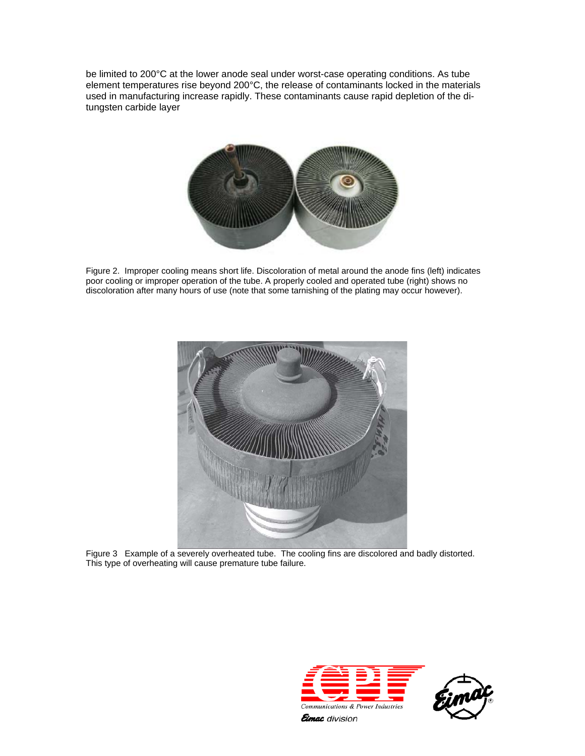be limited to 200°C at the lower anode seal under worst-case operating conditions. As tube element temperatures rise beyond 200°C, the release of contaminants locked in the materials used in manufacturing increase rapidly. These contaminants cause rapid depletion of the ditungsten carbide layer



Figure 2. Improper cooling means short life. Discoloration of metal around the anode fins (left) indicates poor cooling or improper operation of the tube. A properly cooled and operated tube (right) shows no discoloration after many hours of use (note that some tarnishing of the plating may occur however).



Figure 3 Example of a severely overheated tube. The cooling fins are discolored and badly distorted. This type of overheating will cause premature tube failure.



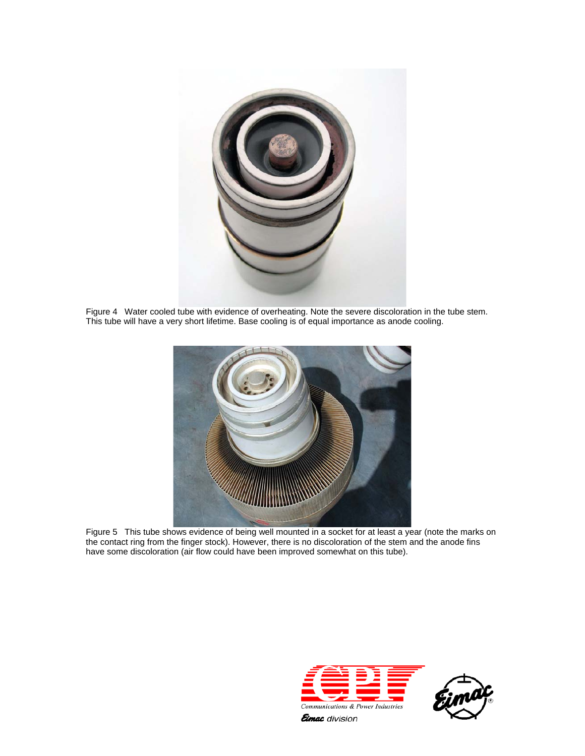

Figure 4 Water cooled tube with evidence of overheating. Note the severe discoloration in the tube stem. This tube will have a very short lifetime. Base cooling is of equal importance as anode cooling.



Figure 5 This tube shows evidence of being well mounted in a socket for at least a year (note the marks on the contact ring from the finger stock). However, there is no discoloration of the stem and the anode fins have some discoloration (air flow could have been improved somewhat on this tube).





**Eimac** division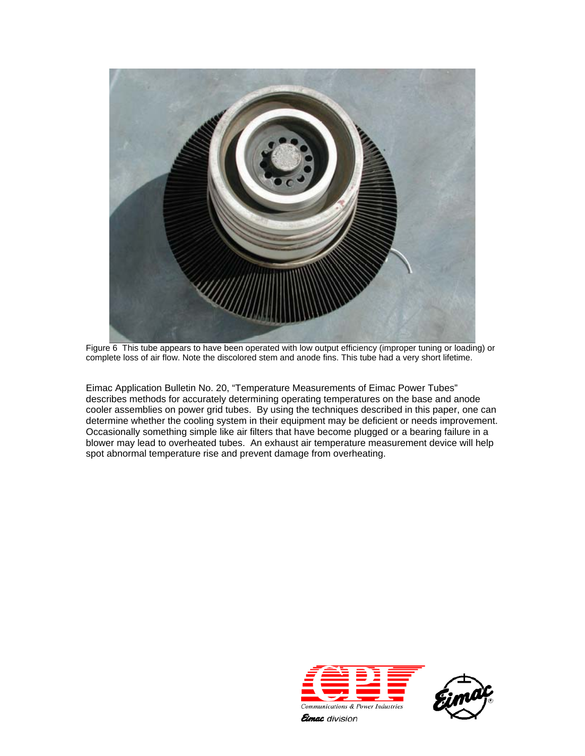

Figure 6 This tube appears to have been operated with low output efficiency (improper tuning or loading) or complete loss of air flow. Note the discolored stem and anode fins. This tube had a very short lifetime.

Eimac Application Bulletin No. 20, "Temperature Measurements of Eimac Power Tubes" describes methods for accurately determining operating temperatures on the base and anode cooler assemblies on power grid tubes. By using the techniques described in this paper, one can determine whether the cooling system in their equipment may be deficient or needs improvement. Occasionally something simple like air filters that have become plugged or a bearing failure in a blower may lead to overheated tubes. An exhaust air temperature measurement device will help spot abnormal temperature rise and prevent damage from overheating.



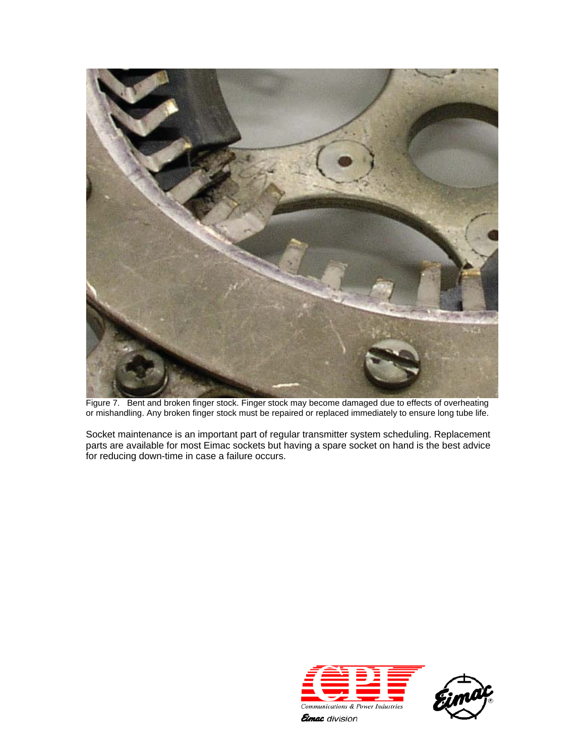

Figure 7. Bent and broken finger stock. Finger stock may become damaged due to effects of overheating or mishandling. Any broken finger stock must be repaired or replaced immediately to ensure long tube life.

Socket maintenance is an important part of regular transmitter system scheduling. Replacement parts are available for most Eimac sockets but having a spare socket on hand is the best advice for reducing down-time in case a failure occurs.



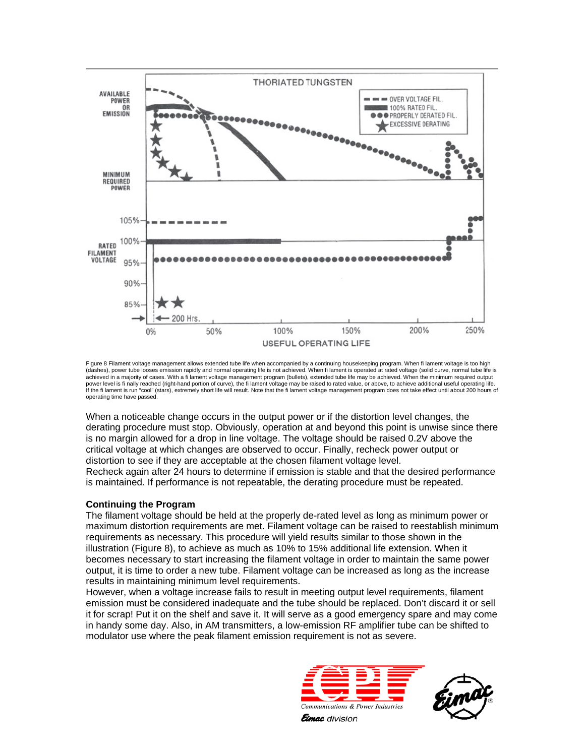

Figure 8 Filament voltage management allows extended tube life when accompanied by a continuing housekeeping program. When fi lament voltage is too high (dashes), power tube looses emission rapidly and normal operating life is not achieved. When fi lament is operated at rated voltage (solid curve, normal tube life is achieved in a majority of cases. With a fi lament voltage management program (bullets), extended tube life may be achieved. When the minimum required output power level is fi nally reached (right-hand portion of curve), the fi lament voltage may be raised to rated value, or above, to achieve additional useful operating life.<br>If the fi lament is run "cool" (stars), extremely sh operating time have passed.

When a noticeable change occurs in the output power or if the distortion level changes, the derating procedure must stop. Obviously, operation at and beyond this point is unwise since there is no margin allowed for a drop in line voltage. The voltage should be raised 0.2V above the critical voltage at which changes are observed to occur. Finally, recheck power output or distortion to see if they are acceptable at the chosen filament voltage level. Recheck again after 24 hours to determine if emission is stable and that the desired performance is maintained. If performance is not repeatable, the derating procedure must be repeated.

# **Continuing the Program**

The filament voltage should be held at the properly de-rated level as long as minimum power or maximum distortion requirements are met. Filament voltage can be raised to reestablish minimum requirements as necessary. This procedure will yield results similar to those shown in the illustration (Figure 8), to achieve as much as 10% to 15% additional life extension. When it becomes necessary to start increasing the filament voltage in order to maintain the same power output, it is time to order a new tube. Filament voltage can be increased as long as the increase results in maintaining minimum level requirements.

However, when a voltage increase fails to result in meeting output level requirements, filament emission must be considered inadequate and the tube should be replaced. Don't discard it or sell it for scrap! Put it on the shelf and save it. It will serve as a good emergency spare and may come in handy some day. Also, in AM transmitters, a low-emission RF amplifier tube can be shifted to modulator use where the peak filament emission requirement is not as severe.